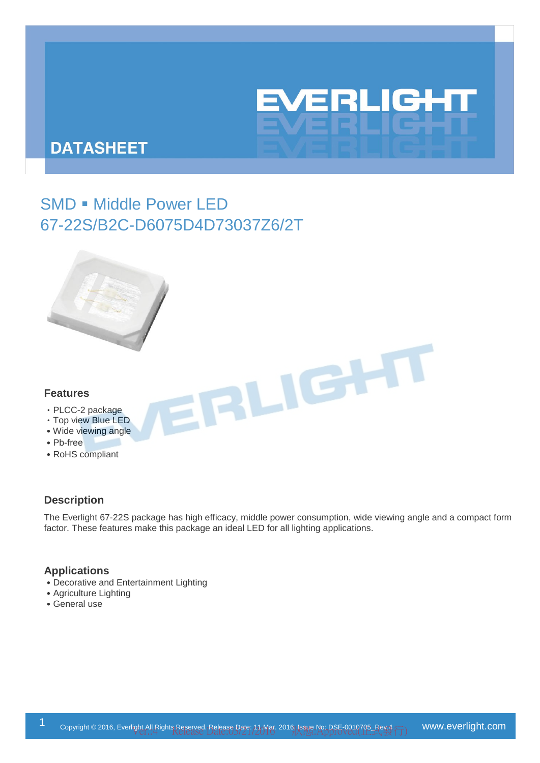# EVERLIGHT

# **DATASHEET**

# SMD . Middle Power LED 67-22S/B2C-D6075D4D73037Z6/2T



#### **Features**

- ‧PLCC-2 package
- ‧Top view Blue LED
- ˙Wide viewing angle
- ˙Pb-free
- ˙RoHS compliant

# **Description**

The Everlight 67-22S package has high efficacy, middle power consumption, wide viewing angle and a compact form factor. These features make this package an ideal LED for all lighting applications.

IRLIGHT

## **Applications**

- ˙Decorative and Entertainment Lighting
- ˙Agriculture Lighting
- ˙General use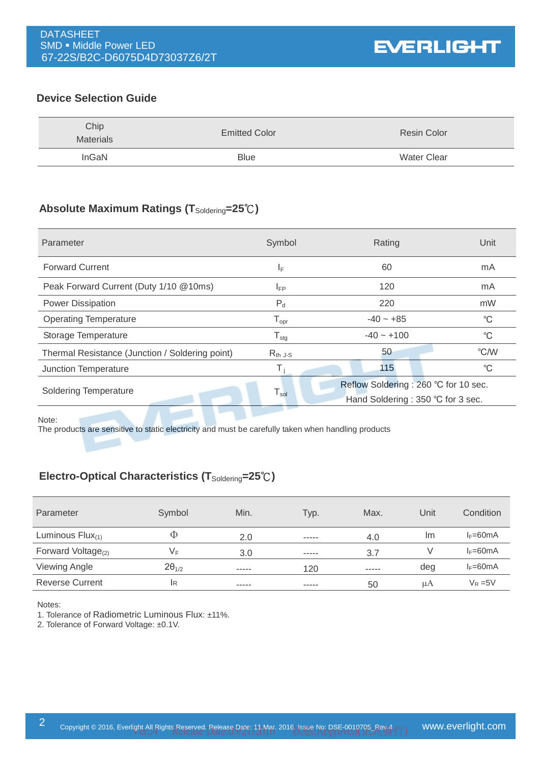# **Device Selection Guide**

| Chip<br><b>Materials</b> | <b>Emitted Color</b> | <b>Resin Color</b> |
|--------------------------|----------------------|--------------------|
| InGaN                    | <b>Blue</b>          | <b>Water Clear</b> |

# **Absolute Maximum Ratings (T**Soldering**=25**℃**)**

| Parameter                                       | Symbol                       | Rating                                                                    | Unit        |
|-------------------------------------------------|------------------------------|---------------------------------------------------------------------------|-------------|
| <b>Forward Current</b>                          | ΙF                           | 60                                                                        | mA          |
| Peak Forward Current (Duty 1/10 @10ms)          | 120<br>$I_{FP}$              |                                                                           | mA          |
| <b>Power Dissipation</b>                        | $P_d$                        | 220                                                                       | mW          |
| <b>Operating Temperature</b>                    | ${\mathsf T}_{\textsf{opr}}$ | $-40 - +85$                                                               | $^{\circ}C$ |
| Storage Temperature                             | ${\mathsf T}_{\text{stg}}$   | $-40 - +100$                                                              | $^{\circ}C$ |
| Thermal Resistance (Junction / Soldering point) | $R_{th}$ J-S                 | 50                                                                        | °C/W        |
| Junction Temperature                            |                              | 115                                                                       | $^{\circ}C$ |
| <b>Soldering Temperature</b>                    | $\mathsf{T}_{\mathsf{sol}}$  | Reflow Soldering: 260 °C for 10 sec.<br>Hand Soldering: 350 °C for 3 sec. |             |
|                                                 |                              |                                                                           |             |

Note:

The products are sensitive to static electricity and must be carefully taken when handling products

# **Electro-Optical Characteristics (T**Soldering**=25**℃**)**

| Parameter                | Symbol          | Min.  | Typ.        | Max.          | Unit | Condition  |
|--------------------------|-----------------|-------|-------------|---------------|------|------------|
| Luminous $Flux_{(1)}$    | Φ               | 2.0   | $- - - - -$ | 4.0           | Im   | $I_F=60mA$ |
| Forward Voltage $_{(2)}$ | VF              | 3.0   | $- - - - -$ | 3.7           |      | $I_F=60mA$ |
| <b>Viewing Angle</b>     | $2\theta_{1/2}$ | ----- | 120         | $- - - - - -$ | deg  | $I_F=60mA$ |
| <b>Reverse Current</b>   | IR.             | ----- | $- - - - -$ | 50            | μA   | $V_R = 5V$ |

Notes:

1. Tolerance of Radiometric Luminous Flux: ±11%.

2. Tolerance of Forward Voltage: ±0.1V.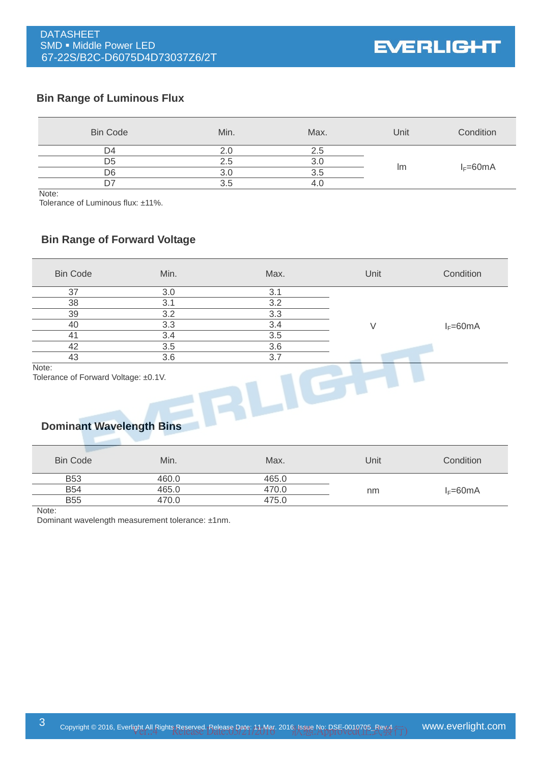**EVERLIGHT** 

# **Bin Range of Luminous Flux**

| <b>Bin Code</b> | Min. | Max. | Unit | Condition    |
|-----------------|------|------|------|--------------|
| D4              |      | 2.5  |      |              |
| D <sub>5</sub>  | 2.5  |      |      |              |
| D6              |      | ა.ხ  | Im   | $I_F = 60mA$ |
|                 |      |      |      |              |

Note:

Tolerance of Luminous flux: ±11%.

## **Bin Range of Forward Voltage**

| <b>Bin Code</b>                                                                  | Min.  | Max.  | Unit   | Condition    |
|----------------------------------------------------------------------------------|-------|-------|--------|--------------|
| 37                                                                               | 3.0   | 3.1   |        |              |
| 38                                                                               | 3.1   | 3.2   |        |              |
| 39                                                                               | 3.2   | 3.3   |        |              |
| 40                                                                               | 3.3   | 3.4   | $\vee$ | $I_F = 60mA$ |
| 41                                                                               | 3.4   | 3.5   |        |              |
| 42                                                                               | 3.5   | 3.6   |        |              |
| 43                                                                               | 3.6   | 3.7   |        |              |
| Note:<br>Tolerance of Forward Voltage: ±0.1V.<br><b>Dominant Wavelength Bins</b> |       |       |        |              |
| <b>Bin Code</b>                                                                  | Min.  | Max.  | Unit   | Condition    |
| <b>B53</b>                                                                       | 460.0 | 465.0 |        |              |

B54 465.0 470.0 nm I<sub>F</sub>=60mA

Note:

Dominant wavelength measurement tolerance: ±1nm.

B55 470.0 475.0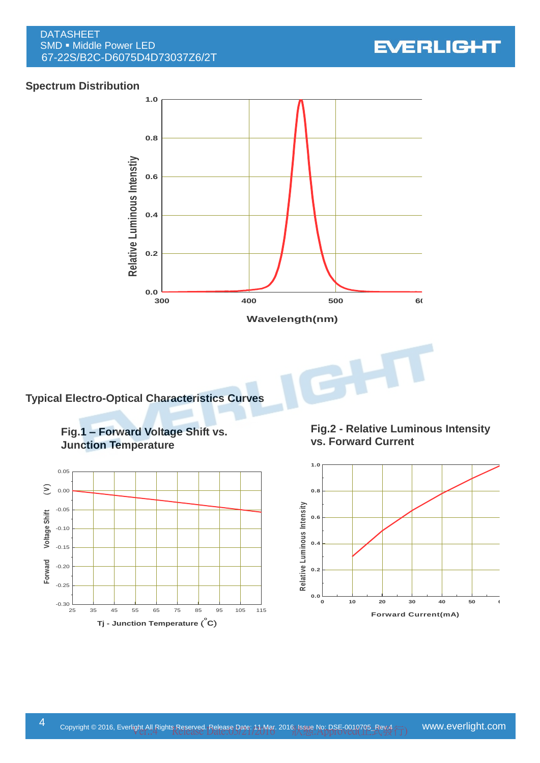DATASHEET SMD . Middle Power LED 67-22S/B2C-D6075D4D73037Z6/2T



# **Spectrum Distribution**



**Typical Electro-Optical Characteristics Curves**

**Fig.1 – Forward Voltage Shift vs. Junction Temperature**



**Fig.2 - Relative Luminous Intensity vs. Forward Current**

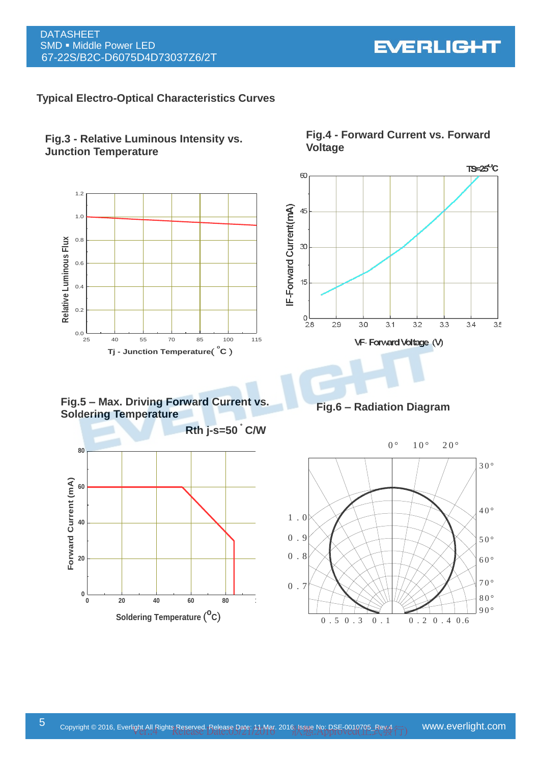**EVERLIGHT** 

#### **Typical Electro-Optical Characteristics Curves**





**Fig.5 – Max. Driving Forward Current vs. Soldering Temperature**



**Fig.4 - Forward Current vs. Forward Voltage**





F ig .6 - R a d ia tio n D ia g ra m **Fig.6 – Radiation Diagram**

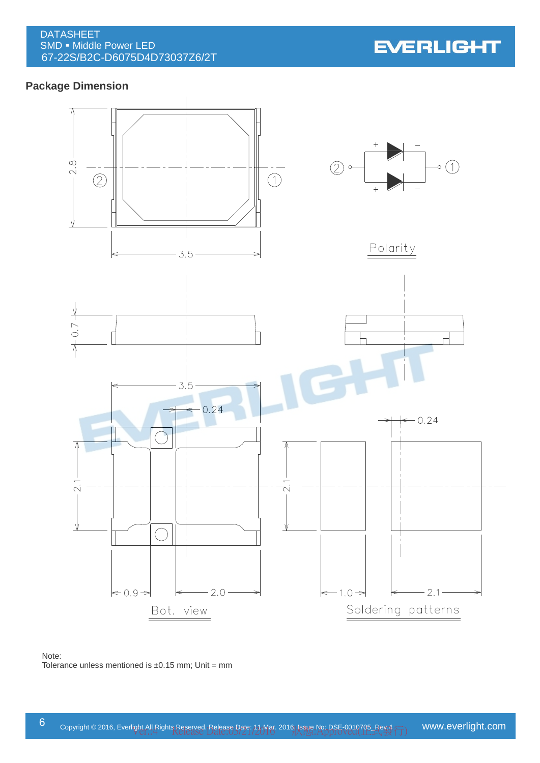DATASHEET SMD . Middle Power LED 67-22S/B2C-D6075D4D73037Z6/2T

**EVERLIGHT** 

# **Package Dimension**



#### Note: Tolerance unless mentioned is  $\pm 0.15$  mm; Unit = mm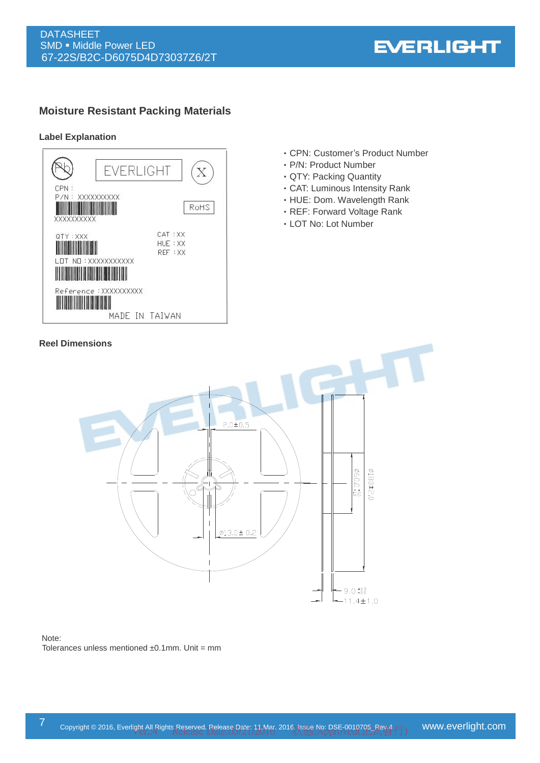# **Moisture Resistant Packing Materials**

#### **Label Explanation**



- ‧CPN: Customer's Product Number
- ‧P/N: Product Number
- ‧QTY: Packing Quantity
- ‧CAT: Luminous Intensity Rank
- ‧HUE: Dom. Wavelength Rank
- ‧REF: Forward Voltage Rank
- ‧LOT No: Lot Number



#### Note: Tolerances unless mentioned  $±0.1$ mm. Unit = mm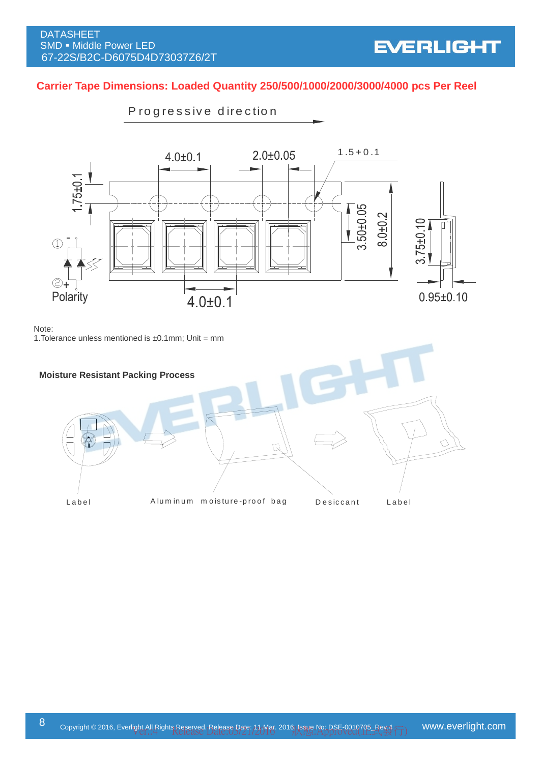# **Carrier Tape Dimensions: Loaded Quantity 250/500/1000/2000/3000/4000 pcs Per Reel** ensions: Loaded Quantity 250<br>Progressive direction



Note:

1. Tolerance unless mentioned is  $\pm 0.1$ mm; Unit = mm



# **EVERLIGHT**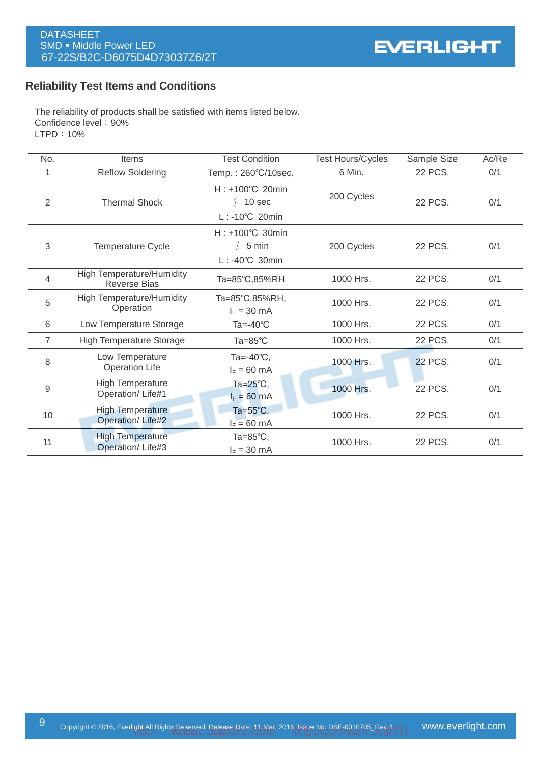# **Reliability Test Items and Conditions**

The reliability of products shall be satisfied with items listed below. Confidence level: 90% LTPD:10%

| No.            | Items                                                   | <b>Test Condition</b>                                                | <b>Test Hours/Cycles</b> | Sample Size    | Ac/Re |
|----------------|---------------------------------------------------------|----------------------------------------------------------------------|--------------------------|----------------|-------|
|                | <b>Reflow Soldering</b>                                 | Temp.: 260°C/10sec.                                                  | 6 Min.                   | 22 PCS.        | 0/1   |
| $\overline{2}$ | <b>Thermal Shock</b>                                    | $H: +100^{\circ}C$ 20min<br>$\int$ 10 sec<br>$L: -10^{\circ}C$ 20min | 200 Cycles               | 22 PCS.        | 0/1   |
| 3              | <b>Temperature Cycle</b>                                | H: +100°C 30min<br>$\binom{5}{ }$ min<br>$L: -40^{\circ}C$ 30min     | 200 Cycles               | 22 PCS.        | 0/1   |
| 4              | <b>High Temperature/Humidity</b><br><b>Reverse Bias</b> | Ta=85°C,85%RH                                                        | 1000 Hrs.                | 22 PCS.        | 0/1   |
| 5              | <b>High Temperature/Humidity</b><br>Operation           | Ta=85°C,85%RH,<br>$I_F = 30$ mA                                      | 1000 Hrs.                | 22 PCS.        | 0/1   |
| 6              | Low Temperature Storage                                 | Ta=-40 $^{\circ}$ C                                                  | 1000 Hrs.                | 22 PCS.        | 0/1   |
| 7              | <b>High Temperature Storage</b>                         | Ta= $85^{\circ}$ C                                                   | 1000 Hrs.                | <b>22 PCS.</b> | 0/1   |
| 8              | Low Temperature<br><b>Operation Life</b>                | Ta=-40 $\degree$ C,<br>$I_F = 60$ mA                                 | 1000 Hrs.                | <b>22 PCS.</b> | 0/1   |
| 9              | High Temperature<br>Operation/Life#1                    | Ta= $25^{\circ}$ C,<br>$I_F = 60$ mA                                 | 1000 Hrs.                | <b>22 PCS.</b> | 0/1   |
| 10             | <b>High Temperature</b><br>Operation/Life#2             | Ta= $55^{\circ}$ C,<br>$I_F = 60$ mA                                 | 1000 Hrs.                | 22 PCS.        | 0/1   |
| 11             | <b>High Temperature</b><br>Operation/Life#3             | Ta= $85^{\circ}$ C,<br>$I_F = 30$ mA                                 | 1000 Hrs.                | 22 PCS.        | 0/1   |